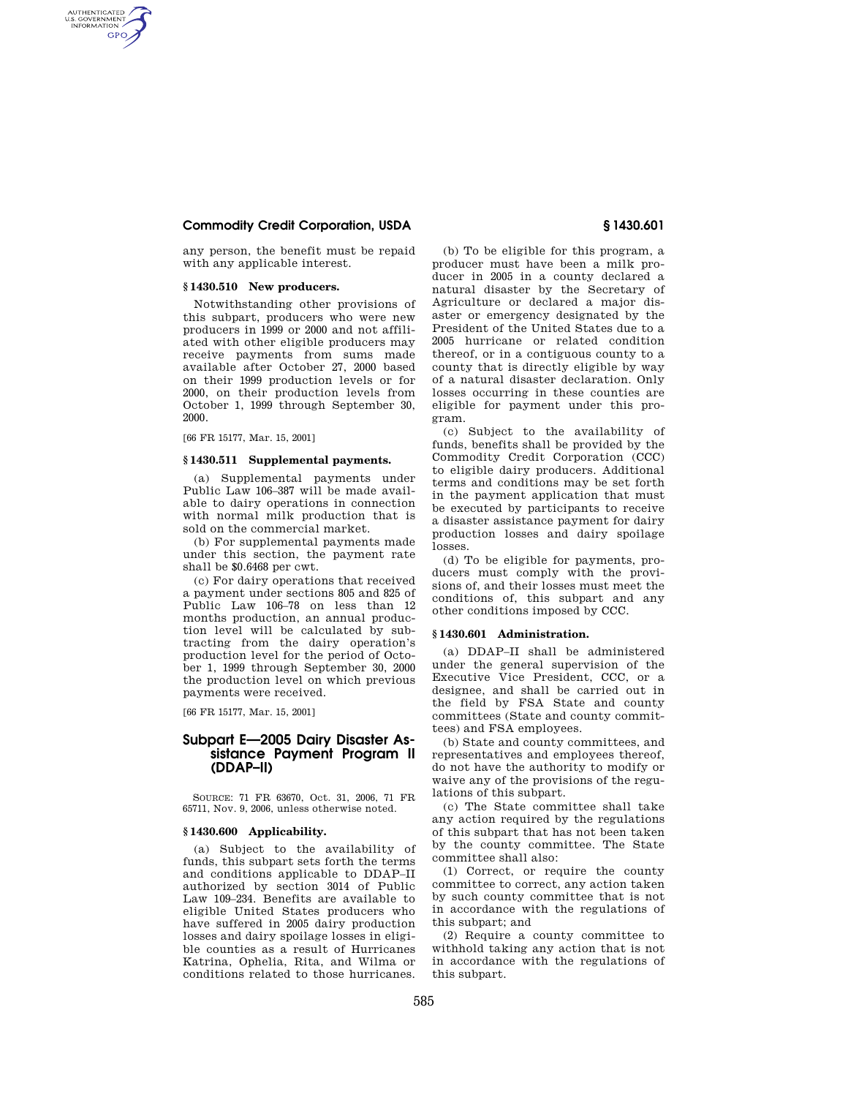# **Commodity Credit Corporation, USDA § 1430.601**

any person, the benefit must be repaid with any applicable interest.

# **§ 1430.510 New producers.**

AUTHENTICATED<br>U.S. GOVERNMENT<br>INFORMATION **GPO** 

> Notwithstanding other provisions of this subpart, producers who were new producers in 1999 or 2000 and not affiliated with other eligible producers may receive payments from sums made available after October 27, 2000 based on their 1999 production levels or for 2000, on their production levels from October 1, 1999 through September 30, 2000.

[66 FR 15177, Mar. 15, 2001]

#### **§ 1430.511 Supplemental payments.**

(a) Supplemental payments under Public Law 106–387 will be made available to dairy operations in connection with normal milk production that is sold on the commercial market.

(b) For supplemental payments made under this section, the payment rate shall be \$0.6468 per cwt.

(c) For dairy operations that received a payment under sections 805 and 825 of Public Law 106–78 on less than 12 months production, an annual production level will be calculated by subtracting from the dairy operation's production level for the period of October 1, 1999 through September 30, 2000 the production level on which previous payments were received.

[66 FR 15177, Mar. 15, 2001]

# **Subpart E—2005 Dairy Disaster Assistance Payment Program II (DDAP–II)**

SOURCE: 71 FR 63670, Oct. 31, 2006, 71 FR 65711, Nov. 9, 2006, unless otherwise noted.

## **§ 1430.600 Applicability.**

(a) Subject to the availability of funds, this subpart sets forth the terms and conditions applicable to DDAP–II authorized by section 3014 of Public Law 109–234. Benefits are available to eligible United States producers who have suffered in 2005 dairy production losses and dairy spoilage losses in eligible counties as a result of Hurricanes Katrina, Ophelia, Rita, and Wilma or conditions related to those hurricanes.

(b) To be eligible for this program, a producer must have been a milk producer in 2005 in a county declared a natural disaster by the Secretary of Agriculture or declared a major disaster or emergency designated by the President of the United States due to a 2005 hurricane or related condition thereof, or in a contiguous county to a county that is directly eligible by way of a natural disaster declaration. Only losses occurring in these counties are eligible for payment under this program.

(c) Subject to the availability of funds, benefits shall be provided by the Commodity Credit Corporation (CCC) to eligible dairy producers. Additional terms and conditions may be set forth in the payment application that must be executed by participants to receive a disaster assistance payment for dairy production losses and dairy spoilage losses.

(d) To be eligible for payments, producers must comply with the provisions of, and their losses must meet the conditions of, this subpart and any other conditions imposed by CCC.

### **§ 1430.601 Administration.**

(a) DDAP–II shall be administered under the general supervision of the Executive Vice President, CCC, or a designee, and shall be carried out in the field by FSA State and county committees (State and county committees) and FSA employees.

(b) State and county committees, and representatives and employees thereof, do not have the authority to modify or waive any of the provisions of the regulations of this subpart.

(c) The State committee shall take any action required by the regulations of this subpart that has not been taken by the county committee. The State committee shall also:

(1) Correct, or require the county committee to correct, any action taken by such county committee that is not in accordance with the regulations of this subpart; and

(2) Require a county committee to withhold taking any action that is not in accordance with the regulations of this subpart.